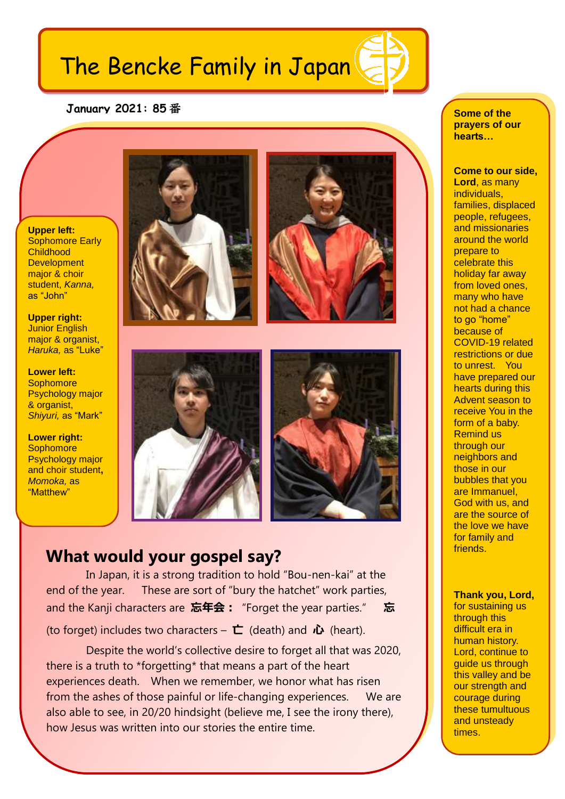## The Bencke Family in Japan

## **January 2021: 85** 番

**Upper left: Sophomore Early Childhood Development** major & choir student, *Kanna,* as "John"

 **Upper right:**  Junior English major & organist, *Haruka,* as "Luke"

**Lower left: Sophomore** Psychology major & organist, *Shiyuri,* as "Mark"

**Lower right: Sophomore** Psychology major and choir student**,**  *Momoka,* as "Matthew"









## **What would your gospel say?**

In Japan, it is a strong tradition to hold "Bou-nen-kai" at the end of the year. These are sort of "bury the hatchet" work parties, and the Kanji characters are 忘年会: "Forget the year parties." 忘

(to forget) includes two characters –  $\mathbf{\dot{\mathsf{L}}}$  (death) and  $\mathbf{\dot{\mathsf{L}}}$  (heart).

Despite the world's collective desire to forget all that was 2020, there is a truth to \*forgetting\* that means a part of the heart experiences death. When we remember, we honor what has risen from the ashes of those painful or life-changing experiences. We are also able to see, in 20/20 hindsight (believe me, I see the irony there), how Jesus was written into our stories the entire time.

**Some of the prayers of our hearts…**

**Come to our side, Lord**, as many individuals, families, displaced people, refugees, and missionaries around the world prepare to celebrate this holiday far away from loved ones, many who have not had a chance to go "home" because of COVID-19 related restrictions or due to unrest. You have prepared our hearts during this Advent season to receive You in the form of a baby. Remind us through our neighbors and those in our bubbles that you are Immanuel, God with us, and are the source of the love we have for family and **friends** 

**Thank you, Lord,**

for sustaining us through this difficult era in human history. Lord, continue to guide us through this valley and be our strength and courage during these tumultuous and unsteady times.